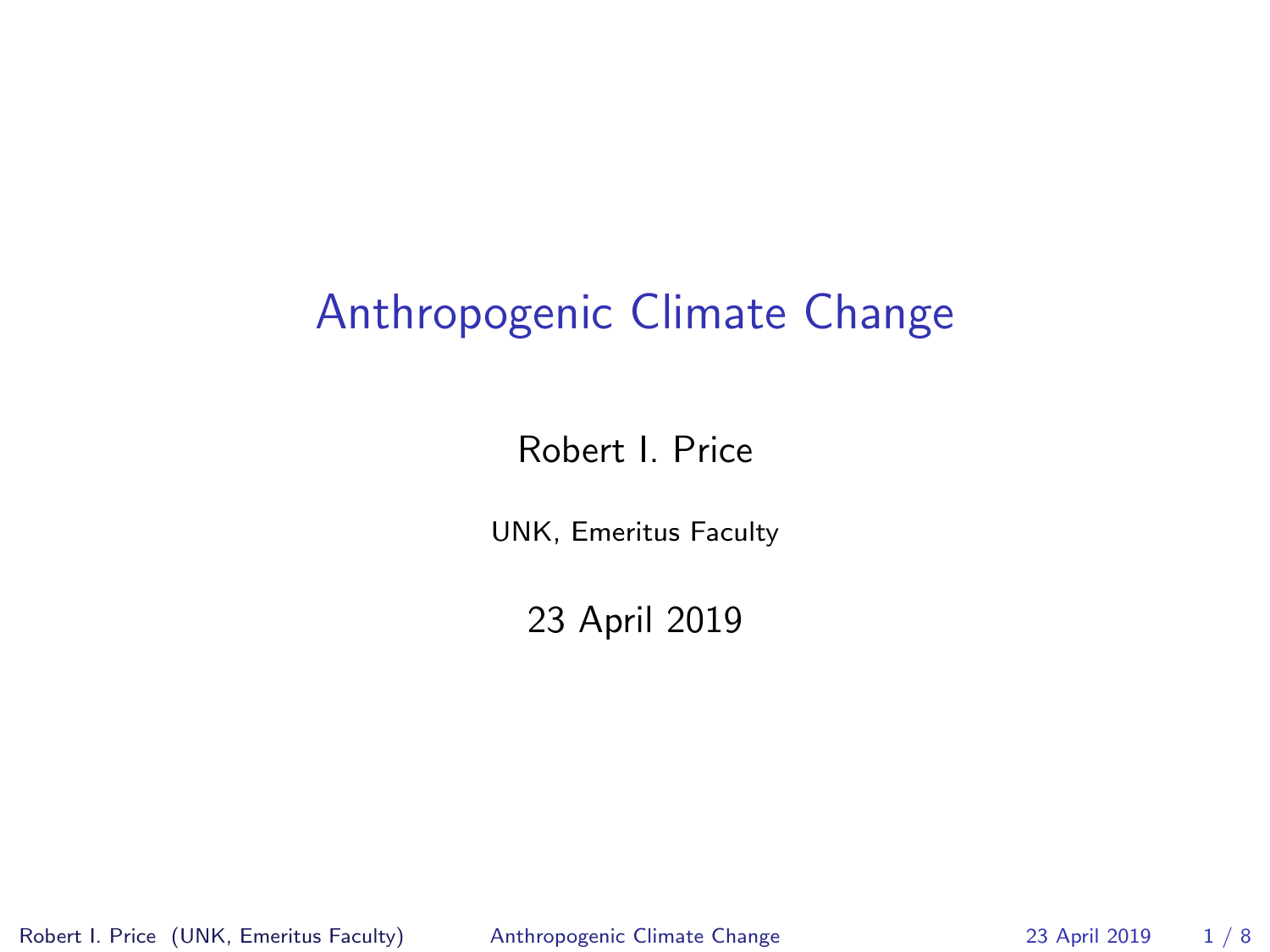#### Anthropogenic Climate Change

Robert I. Price

UNK, Emeritus Faculty

23 April 2019

Robert I. Price (UNK, Emeritus Faculty) [Anthropogenic Climate Change](#page-7-0) 23 April 2019 1 / 8

<span id="page-0-0"></span>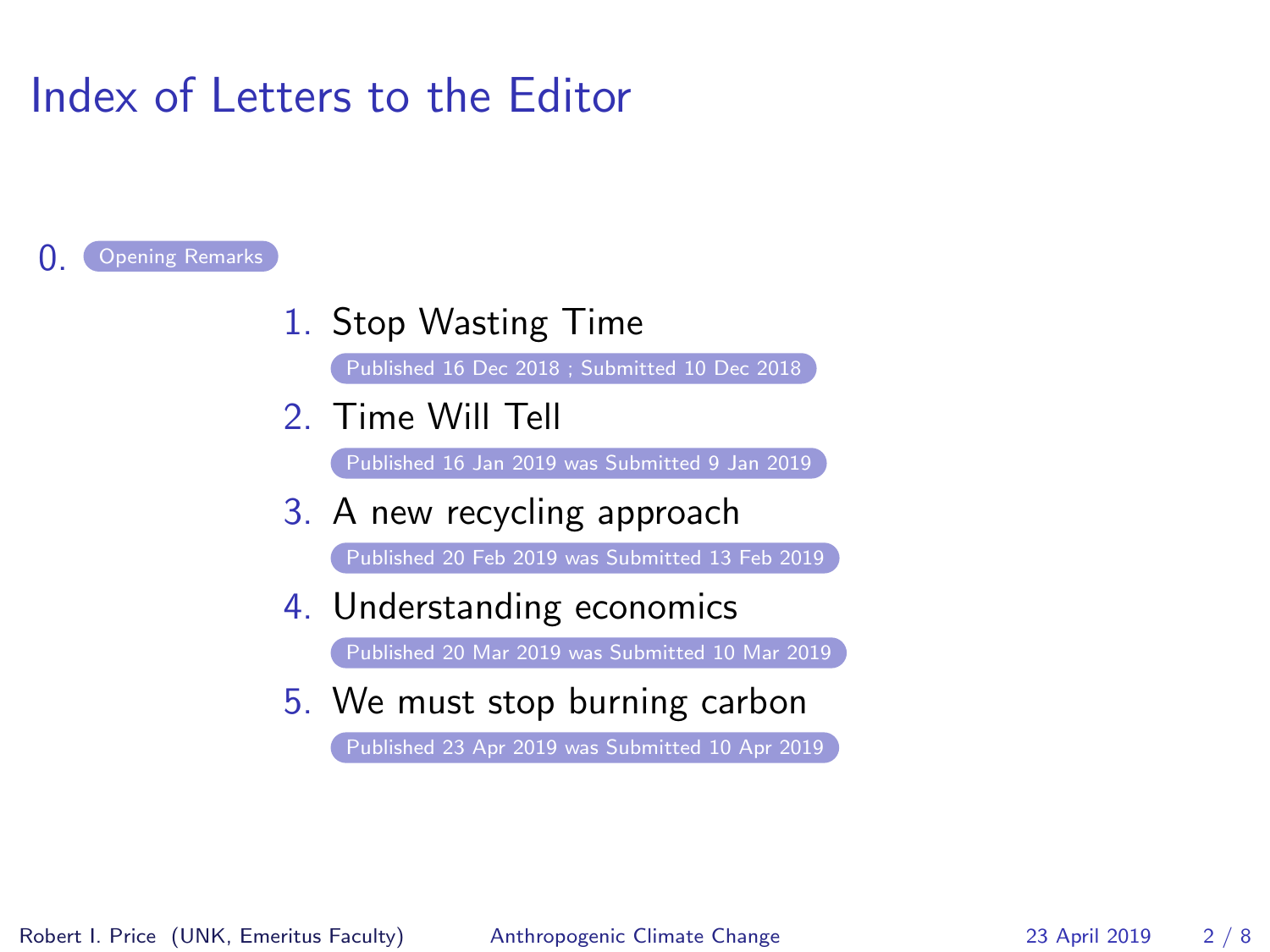## Index of Letters to the Editor

#### <span id="page-1-0"></span>[Opening Remarks](#page-2-0)

1. Stop Wasting Time

[Published 16 Dec 2018 ; Submitted 10 Dec 2018](#page-3-0)

2. Time Will Tell

[Published 16 Jan 2019 was Submitted 9 Jan 2019](#page-4-0)

3. A new recycling approach

[Published 20 Feb 2019 was Submitted 13 Feb 2019](#page-5-0)

4. Understanding economics

[Published 20 Mar 2019 was Submitted 10 Mar 2019](#page-6-0)

5. We must stop burning carbon

[Published 23 Apr 2019 was Submitted 10 Apr 2019](#page-7-1)

Robert I. Price (UNK, Emeritus Faculty) [Anthropogenic Climate Change](#page-0-0) 23 April 2019 2 / 8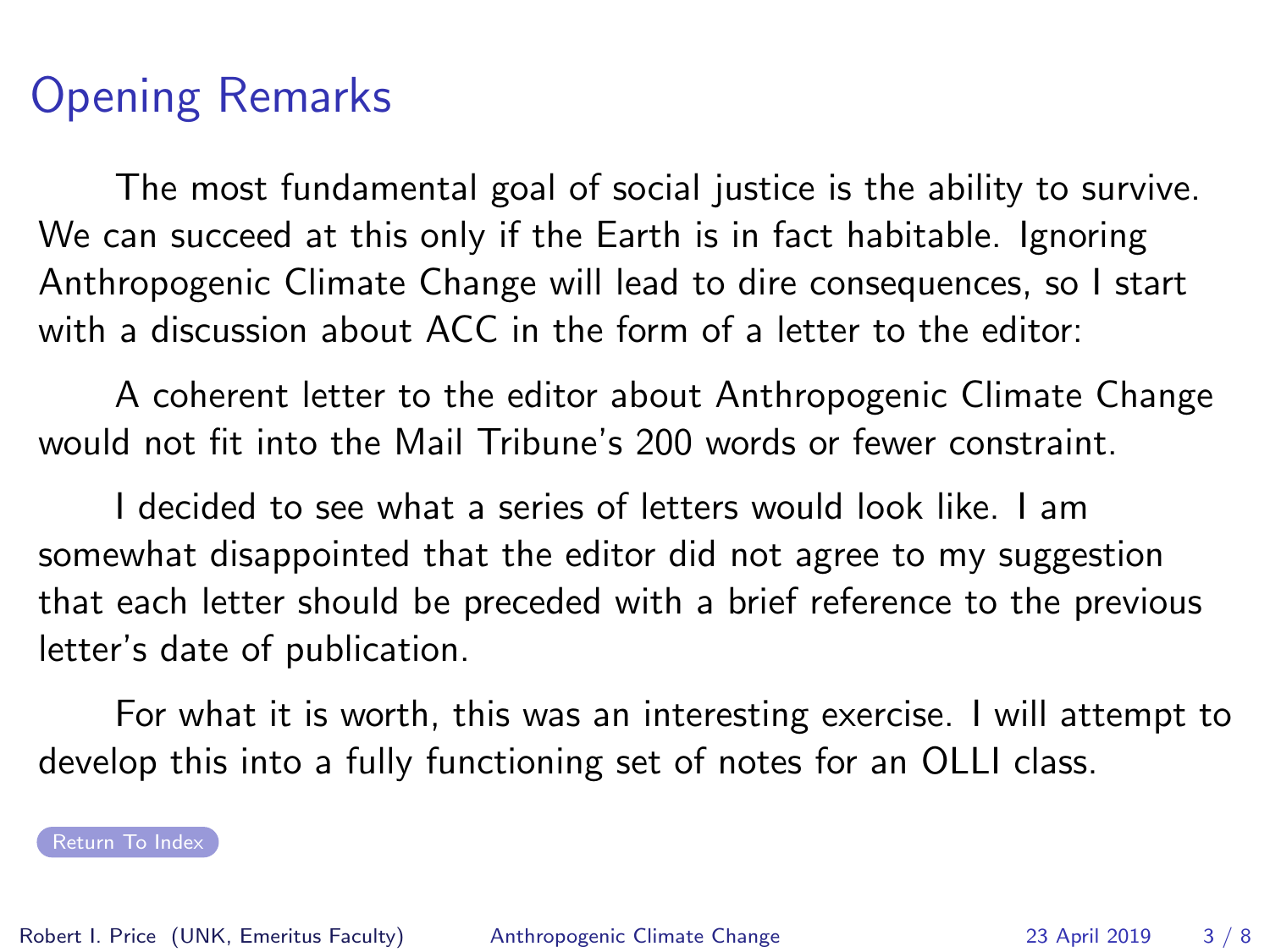### Opening Remarks

<span id="page-2-0"></span>The most fundamental goal of social justice is the ability to survive. We can succeed at this only if the Earth is in fact habitable. Ignoring Anthropogenic Climate Change will lead to dire consequences, so I start with a discussion about ACC in the form of a letter to the editor:

A coherent letter to the editor about Anthropogenic Climate Change would not fit into the Mail Tribune's 200 words or fewer constraint.

I decided to see what a series of letters would look like. I am somewhat disappointed that the editor did not agree to my suggestion that each letter should be preceded with a brief reference to the previous letter's date of publication.

For what it is worth, this was an interesting exercise. I will attempt to develop this into a fully functioning set of notes for an OLLI class.

[Return To Index](#page-1-0)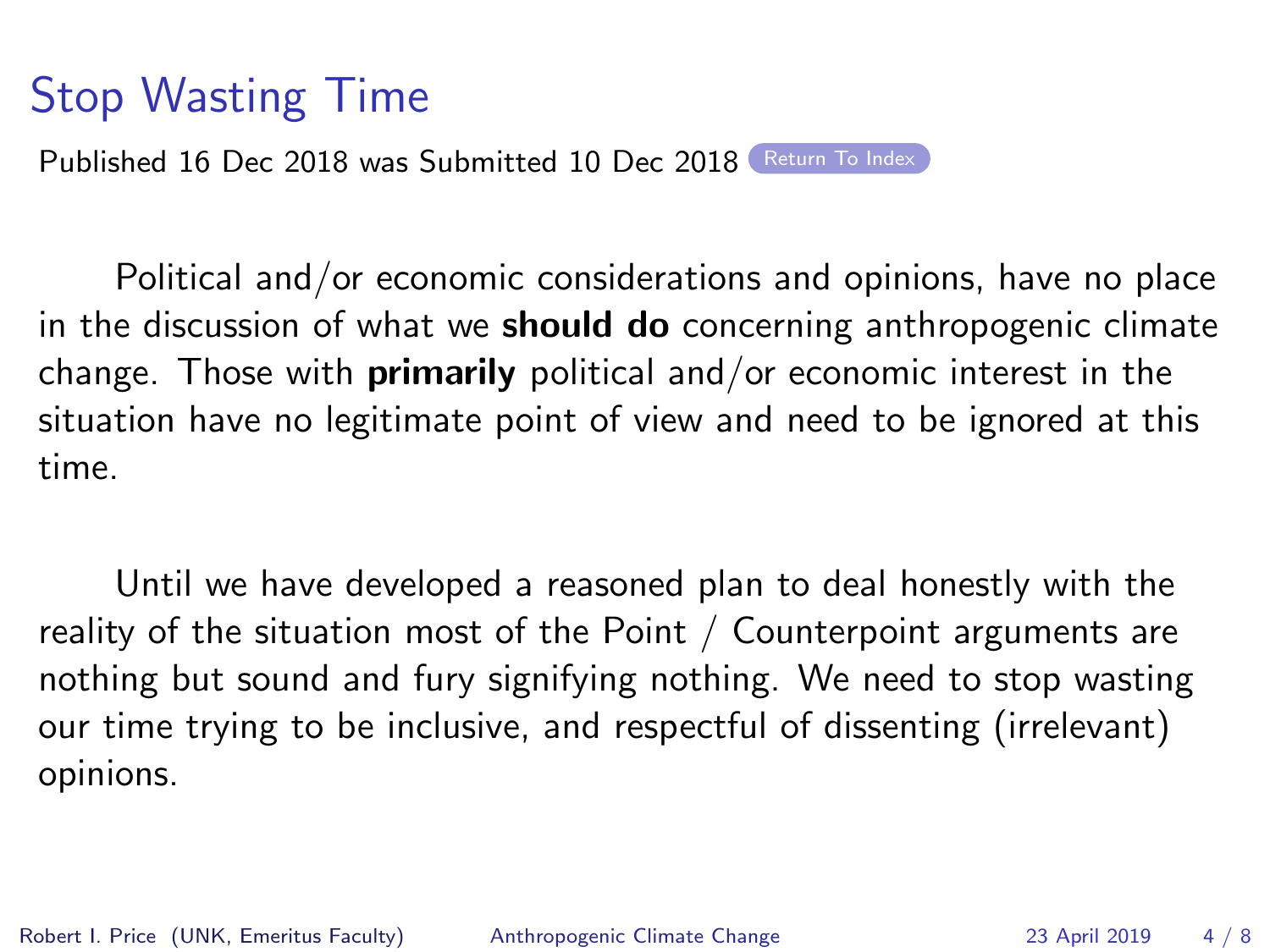## Stop Wasting Time

<span id="page-3-0"></span>Published 16 Dec 2018 was Submitted 10 Dec 2018 [Return To Index](#page-1-0)

Political and/or economic considerations and opinions, have no place in the discussion of what we **should do** concerning anthropogenic climate change. Those with **primarily** political and/or economic interest in the situation have no legitimate point of view and need to be ignored at this time.

Until we have developed a reasoned plan to deal honestly with the reality of the situation most of the Point / Counterpoint arguments are nothing but sound and fury signifying nothing. We need to stop wasting our time trying to be inclusive, and respectful of dissenting (irrelevant) opinions.

Robert I. Price (UNK, Emeritus Faculty) [Anthropogenic Climate Change](#page-0-0) 23 April 2019 4 / 8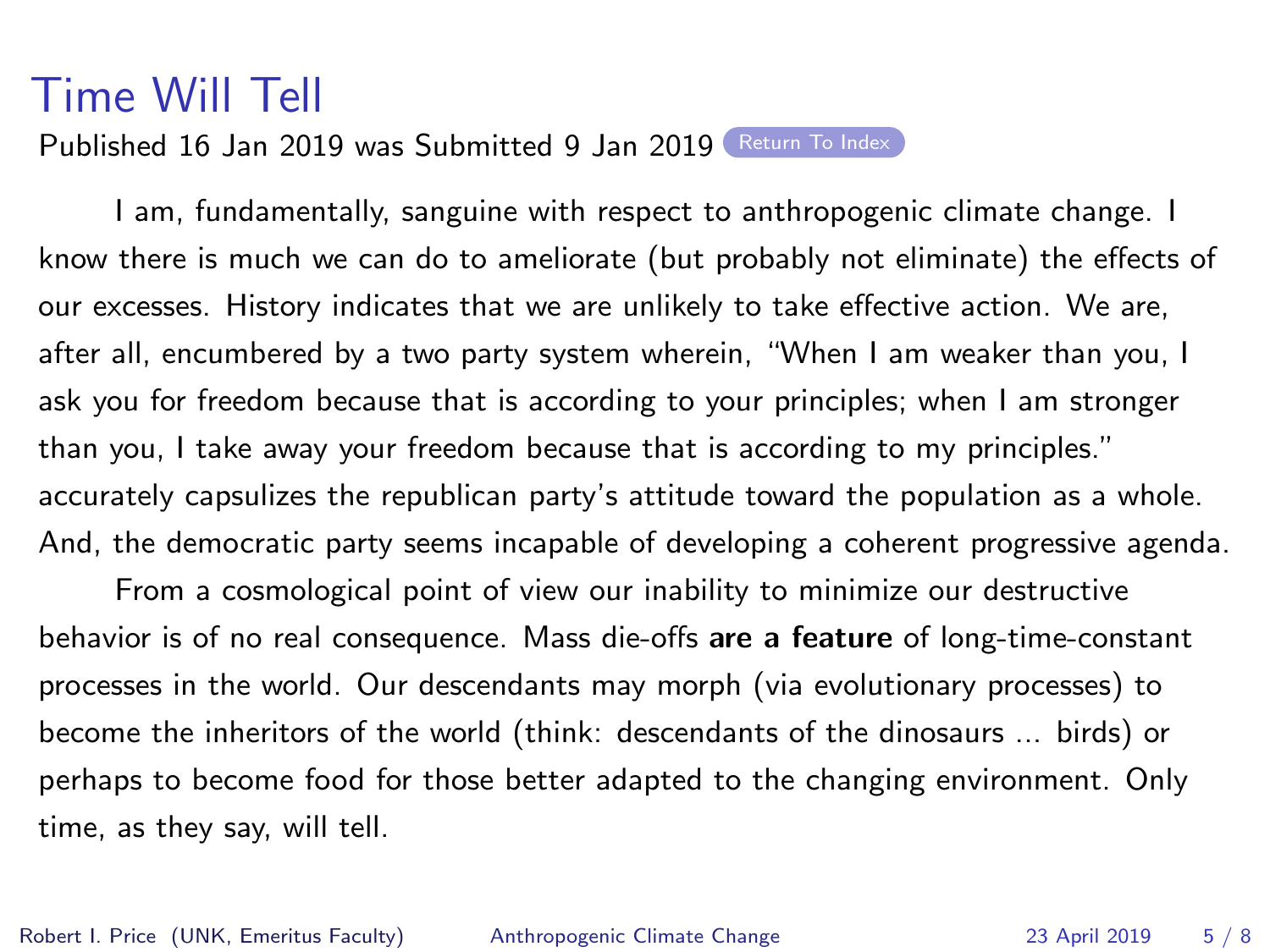#### Time Will Tell

Published 16 Jan 2019 was Submitted 9 Jan 2019 [Return To Index](#page-1-0)

<span id="page-4-0"></span>I am, fundamentally, sanguine with respect to anthropogenic climate change. I know there is much we can do to ameliorate (but probably not eliminate) the effects of our excesses. History indicates that we are unlikely to take effective action. We are, after all, encumbered by a two party system wherein, "When I am weaker than you, I ask you for freedom because that is according to your principles; when I am stronger than you, I take away your freedom because that is according to my principles." accurately capsulizes the republican party's attitude toward the population as a whole. And, the democratic party seems incapable of developing a coherent progressive agenda.

From a cosmological point of view our inability to minimize our destructive behavior is of no real consequence. Mass die-offs are a feature of long-time-constant processes in the world. Our descendants may morph (via evolutionary processes) to become the inheritors of the world (think: descendants of the dinosaurs ... birds) or perhaps to become food for those better adapted to the changing environment. Only time, as they say, will tell.

Robert I. Price (UNK, Emeritus Faculty) [Anthropogenic Climate Change](#page-0-0) 23 April 2019 5 / 8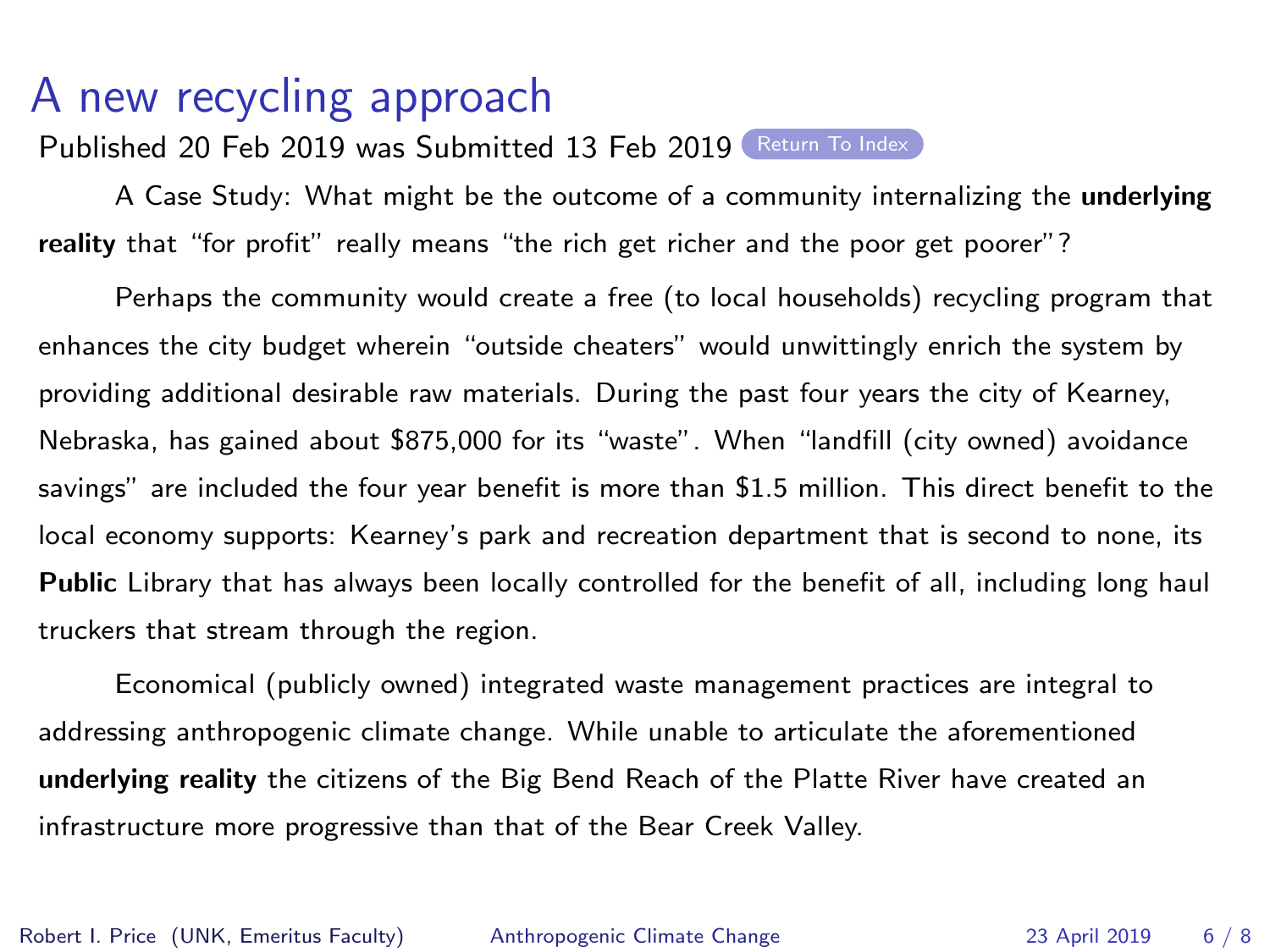# A new recycling approach

Published 20 Feb 2019 was Submitted 13 Feb 2019 ([Return To Index](#page-1-0))

<span id="page-5-0"></span>A Case Study: What might be the outcome of a community internalizing the underlying reality that "for profit" really means "the rich get richer and the poor get poorer"?

Perhaps the community would create a free (to local households) recycling program that enhances the city budget wherein "outside cheaters" would unwittingly enrich the system by providing additional desirable raw materials. During the past four years the city of Kearney, Nebraska, has gained about \$875,000 for its "waste". When "landfill (city owned) avoidance savings" are included the four year benefit is more than \$1.5 million. This direct benefit to the local economy supports: Kearney's park and recreation department that is second to none, its Public Library that has always been locally controlled for the benefit of all, including long haul truckers that stream through the region.

Economical (publicly owned) integrated waste management practices are integral to addressing anthropogenic climate change. While unable to articulate the aforementioned underlying reality the citizens of the Big Bend Reach of the Platte River have created an infrastructure more progressive than that of the Bear Creek Valley.

Robert I. Price (UNK, Emeritus Faculty) [Anthropogenic Climate Change](#page-0-0) 23 April 2019 6 / 8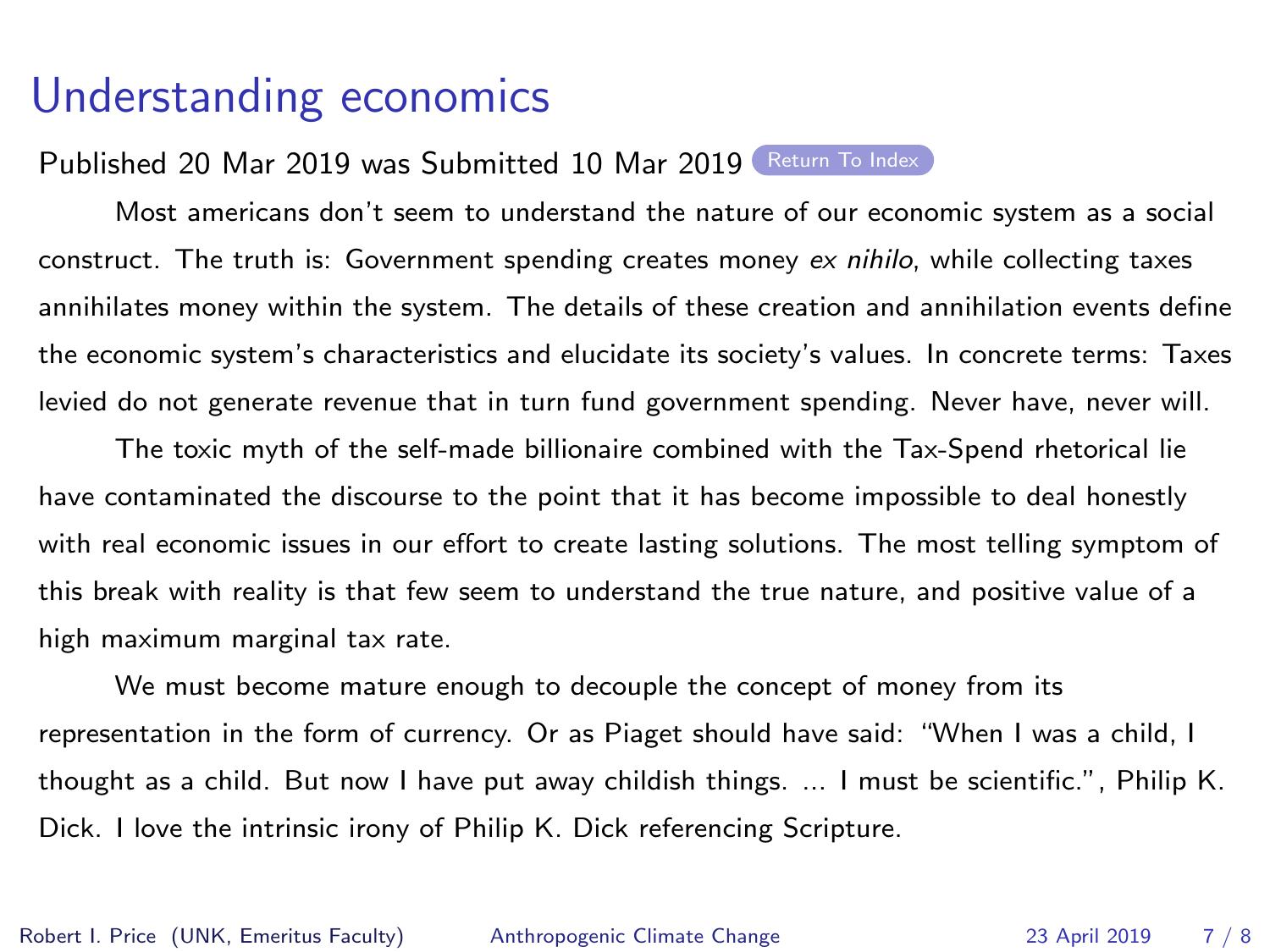#### Understanding economics

<span id="page-6-0"></span>Published 20 Mar 2019 was Submitted 10 Mar 2019 [Return To Index](#page-1-0)

Most americans don't seem to understand the nature of our economic system as a social construct. The truth is: Government spending creates money ex nihilo, while collecting taxes annihilates money within the system. The details of these creation and annihilation events define the economic system's characteristics and elucidate its society's values. In concrete terms: Taxes levied do not generate revenue that in turn fund government spending. Never have, never will.

The toxic myth of the self-made billionaire combined with the Tax-Spend rhetorical lie have contaminated the discourse to the point that it has become impossible to deal honestly with real economic issues in our effort to create lasting solutions. The most telling symptom of this break with reality is that few seem to understand the true nature, and positive value of a high maximum marginal tax rate.

We must become mature enough to decouple the concept of money from its representation in the form of currency. Or as Piaget should have said: "When I was a child, I thought as a child. But now I have put away childish things. ... I must be scientific.", Philip K. Dick. I love the intrinsic irony of Philip K. Dick referencing Scripture.

Robert I. Price (UNK, Emeritus Faculty) [Anthropogenic Climate Change](#page-0-0) 23 April 2019 7 / 8